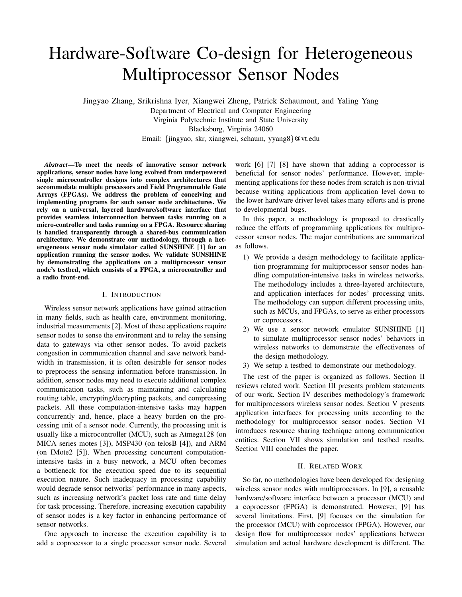# Hardware-Software Co-design for Heterogeneous Multiprocessor Sensor Nodes

Jingyao Zhang, Srikrishna Iyer, Xiangwei Zheng, Patrick Schaumont, and Yaling Yang Department of Electrical and Computer Engineering Virginia Polytechnic Institute and State University Blacksburg, Virginia 24060 Email: {jingyao, skr, xiangwei, schaum, yyang8}@vt.edu

*Abstract*—To meet the needs of innovative sensor network applications, sensor nodes have long evolved from underpowered single microcontroller designs into complex architectures that accommodate multiple processors and Field Programmable Gate Arrays (FPGAs). We address the problem of conceiving and implementing programs for such sensor node architectures. We rely on a universal, layered hardware/software interface that provides seamless interconnection between tasks running on a micro-controller and tasks running on a FPGA. Resource sharing is handled transparently through a shared-bus communication architecture. We demonstrate our methodology, through a heterogeneous sensor node simulator called SUNSHINE [1] for an application running the sensor nodes. We validate SUNSHINE by demonstrating the applications on a multiprocessor sensor node's testbed, which consists of a FPGA, a microcontroller and a radio front-end.

# I. INTRODUCTION

Wireless sensor network applications have gained attraction in many fields, such as health care, environment monitoring, industrial measurements [2]. Most of these applications require sensor nodes to sense the environment and to relay the sensing data to gateways via other sensor nodes. To avoid packets congestion in communication channel and save network bandwidth in transmission, it is often desirable for sensor nodes to preprocess the sensing information before transmission. In addition, sensor nodes may need to execute additional complex communication tasks, such as maintaining and calculating routing table, encrypting/decrypting packets, and compressing packets. All these computation-intensive tasks may happen concurrently and, hence, place a heavy burden on the processing unit of a sensor node. Currently, the processing unit is usually like a microcontroller (MCU), such as Atmega128 (on MICA series motes [3]), MSP430 (on telosB [4]), and ARM (on IMote2 [5]). When processing concurrent computationintensive tasks in a busy network, a MCU often becomes a bottleneck for the execution speed due to its sequential execution nature. Such inadequacy in processing capability would degrade sensor networks' performance in many aspects, such as increasing network's packet loss rate and time delay for task processing. Therefore, increasing execution capability of sensor nodes is a key factor in enhancing performance of sensor networks.

One approach to increase the execution capability is to add a coprocessor to a single processor sensor node. Several work [6] [7] [8] have shown that adding a coprocessor is beneficial for sensor nodes' performance. However, implementing applications for these nodes from scratch is non-trivial because writing applications from application level down to the lower hardware driver level takes many efforts and is prone to developmental bugs.

In this paper, a methodology is proposed to drastically reduce the efforts of programming applications for multiprocessor sensor nodes. The major contributions are summarized as follows.

- 1) We provide a design methodology to facilitate application programming for multiprocessor sensor nodes handling computation-intensive tasks in wireless networks. The methodology includes a three-layered architecture, and application interfaces for nodes' processing units. The methodology can support different processing units, such as MCUs, and FPGAs, to serve as either processors or coprocessors.
- 2) We use a sensor network emulator SUNSHINE [1] to simulate multiprocessor sensor nodes' behaviors in wireless networks to demonstrate the effectiveness of the design methodology.
- 3) We setup a testbed to demonstrate our methodology.

The rest of the paper is organized as follows. Section II reviews related work. Section III presents problem statements of our work. Section IV describes methodology's framework for multiprocessors wireless sensor nodes. Section V presents application interfaces for processing units according to the methodology for multiprocessor sensor nodes. Section VI introduces resource sharing technique among communication entities. Section VII shows simulation and testbed results. Section VIII concludes the paper.

# II. RELATED WORK

So far, no methodologies have been developed for designing wireless sensor nodes with multiprocessors. In [9], a reusable hardware/software interface between a processor (MCU) and a coprocessor (FPGA) is demonstrated. However, [9] has several limitations. First, [9] focuses on the simulation for the processor (MCU) with coprocessor (FPGA). However, our design flow for multiprocessor nodes' applications between simulation and actual hardware development is different. The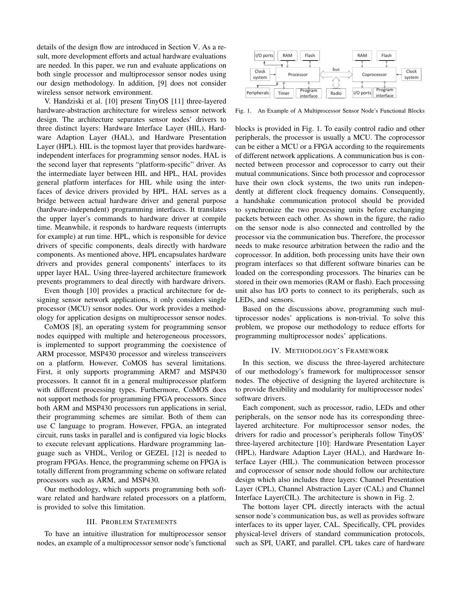details of the design flow are introduced in Section V. As a result, more development efforts and actual hardware evaluations are needed. In this paper, we run and evaluate applications on both single processor and multiprocessor sensor nodes using our design methodology. In addition, [9] does not consider wireless sensor network environment.

V. Handziski et al. [10] present TinyOS [11] three-layered hardware-abstraction architecture for wireless sensor network design. The architecture separates sensor nodes' drivers to three distinct layers: Hardware Interface Layer (HIL), Hardware Adaption Layer (HAL), and Hardware Presentation Layer (HPL). HIL is the topmost layer that provides hardwareindependent interfaces for programming sensor nodes. HAL is the second layer that represents "platform-specific" driver. As the intermediate layer between HIL and HPL, HAL provides general platform interfaces for HIL while using the interfaces of device drivers provided by HPL. HAL serves as a bridge between actual hardware driver and general purpose (hardware-independent) programming interfaces. It translates the upper layer's commands to hardware driver at compile time. Meanwhile, it responds to hardware requests (interrupts for example) at run time. HPL, which is responsible for device drivers of specific components, deals directly with hardware components. As mentioned above, HPL encapsulates hardware drivers and provides general components' interfaces to its upper layer HAL. Using three-layered architecture framework prevents programmers to deal directly with hardware drivers.

Even though [10] provides a practical architecture for designing sensor network applications, it only considers single processor (MCU) sensor nodes. Our work provides a methodology for application designs on multiprocessor sensor nodes.

CoMOS [8], an operating system for programming sensor nodes equipped with multiple and heterogeneous processors, is implemented to support programming the coexistence of ARM processor, MSP430 processor and wireless transceivers on a platform. However, CoMOS has several limitations. First, it only supports programming ARM7 and MSP430 processors. It cannot fit in a general multiprocessor platform with different processing types. Furthermore, CoMOS does not support methods for programming FPGA processors. Since both ARM and MSP430 processors run applications in serial, their programming schemes are similar. Both of them can use C language to program. However, FPGA, an integrated circuit, runs tasks in parallel and is configured via logic blocks to execute relevant applications. Hardware programming language such as VHDL, Verilog or GEZEL [12] is needed to program FPGAs. Hence, the programming scheme on FPGA is totally different from programming scheme on software related processors such as ARM, and MSP430.

Our methodology, which supports programming both software related and hardware related processors on a platform, is provided to solve this limitation.

# III. PROBLEM STATEMENTS

To have an intuitive illustration for multiprocessor sensor nodes, an example of a multiprocessor sensor node's functional



Fig. 1. An Example of A Multiprocessor Sensor Node's Functional Blocks

blocks is provided in Fig. 1. To easily control radio and other peripherals, the processor is usually a MCU. The coprocessor can be either a MCU or a FPGA according to the requirements of different network applications. A communication bus is connected between processor and coprocessor to carry out their mutual communications. Since both processor and coprocessor have their own clock systems, the two units run independently at different clock frequency domains. Consequently, a handshake communication protocol should be provided to synchronize the two processing units before exchanging packets between each other. As shown in the figure, the radio on the sensor node is also connected and controlled by the processor via the communication bus. Therefore, the processor needs to make resource arbitration between the radio and the coprocessor. In addition, both processing units have their own program interfaces so that different software binaries can be loaded on the corresponding processors. The binaries can be stored in their own memories (RAM or flash). Each processing unit also has I/O ports to connect to its peripherals, such as LEDs, and sensors.

Based on the discussions above, programming such multiprocessor nodes' applications is non-trivial. To solve this problem, we propose our methodology to reduce efforts for programming multiprocessor nodes' applications.

#### IV. METHODOLOGY'S FRAMEWORK

In this section, we discuss the three-layered architecture of our methodology's framework for multiprocessor sensor nodes. The objective of designing the layered architecture is to provide flexibility and modularity for multiprocessor nodes' software drivers.

Each component, such as processor, radio, LEDs and other peripherals, on the sensor node has its corresponding threelayered architecture. For multiprocessor sensor nodes, the drivers for radio and processor's peripherals follow TinyOS' three-layered architecture [10]: Hardware Presentation Layer (HPL), Hardware Adaption Layer (HAL), and Hardware Interface Layer (HIL). The communication between processor and coprocessor of sensor node should follow our architecture design which also includes three layers: Channel Presentation Layer (CPL), Channel Abstraction Layer (CAL) and Channel Interface Layer(CIL). The architecture is shown in Fig. 2.

The bottom layer CPL directly interacts with the actual sensor node's communication bus, as well as provides software interfaces to its upper layer, CAL. Specifically, CPL provides physical-level drivers of standard communication protocols, such as SPI, UART, and parallel. CPL takes care of hardware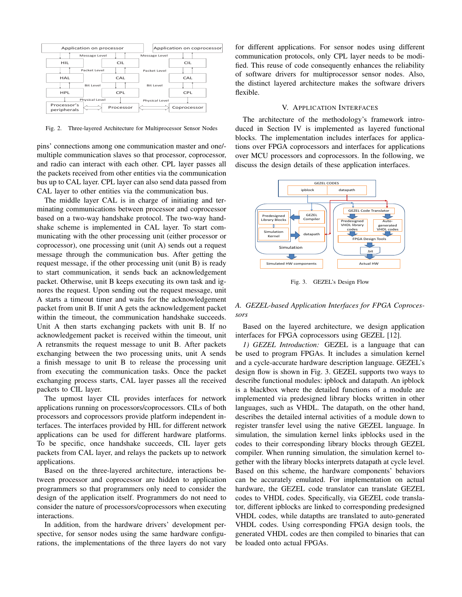

Fig. 2. Three-layered Architecture for Multiprocessor Sensor Nodes

pins' connections among one communication master and one/ multiple communication slaves so that processor, coprocessor, and radio can interact with each other. CPL layer passes all the packets received from other entities via the communication bus up to CAL layer. CPL layer can also send data passed from CAL layer to other entities via the communication bus.

The middle layer CAL is in charge of initiating and terminating communications between processor and coprocessor based on a two-way handshake protocol. The two-way handshake scheme is implemented in CAL layer. To start communicating with the other processing unit (either processor or coprocessor), one processing unit (unit A) sends out a request message through the communication bus. After getting the request message, if the other processing unit (unit B) is ready to start communication, it sends back an acknowledgement packet. Otherwise, unit B keeps executing its own task and ignores the request. Upon sending out the request message, unit A starts a timeout timer and waits for the acknowledgement packet from unit B. If unit A gets the acknowledgement packet within the timeout, the communication handshake succeeds. Unit A then starts exchanging packets with unit B. If no acknowledgement packet is received within the timeout, unit A retransmits the request message to unit B. After packets exchanging between the two processing units, unit A sends a finish message to unit B to release the processing unit from executing the communication tasks. Once the packet exchanging process starts, CAL layer passes all the received packets to CIL layer.

The upmost layer CIL provides interfaces for network applications running on processors/coprocessors. CILs of both processors and coprocessors provide platform independent interfaces. The interfaces provided by HIL for different network applications can be used for different hardware platforms. To be specific, once handshake succeeds, CIL layer gets packets from CAL layer, and relays the packets up to network applications.

Based on the three-layered architecture, interactions between processor and coprocessor are hidden to application programmers so that programmers only need to consider the design of the application itself. Programmers do not need to consider the nature of processors/coprocessors when executing interactions.

In addition, from the hardware drivers' development perspective, for sensor nodes using the same hardware configurations, the implementations of the three layers do not vary for different applications. For sensor nodes using different communication protocols, only CPL layer needs to be modified. This reuse of code consequently enhances the reliability of software drivers for multiprocessor sensor nodes. Also, the distinct layered architecture makes the software drivers flexible.

# V. APPLICATION INTERFACES

The architecture of the methodology's framework introduced in Section IV is implemented as layered functional blocks. The implementation includes interfaces for applications over FPGA coprocessors and interfaces for applications over MCU processors and coprocessors. In the following, we discuss the design details of these application interfaces.



Fig. 3. GEZEL's Design Flow

# *A. GEZEL-based Application Interfaces for FPGA Coprocessors*

Based on the layered architecture, we design application interfaces for FPGA coprocessors using GEZEL [12].

*1) GEZEL Introduction:* GEZEL is a language that can be used to program FPGAs. It includes a simulation kernel and a cycle-accurate hardware description language. GEZEL's design flow is shown in Fig. 3. GEZEL supports two ways to describe functional modules: ipblock and datapath. An ipblock is a blackbox where the detailed functions of a module are implemented via predesigned library blocks written in other languages, such as VHDL. The datapath, on the other hand, describes the detailed internal activities of a module down to register transfer level using the native GEZEL language. In simulation, the simulation kernel links ipblocks used in the codes to their corresponding library blocks through GEZEL compiler. When running simulation, the simulation kernel together with the library blocks interprets datapath at cycle level. Based on this scheme, the hardware components' behaviors can be accurately emulated. For implementation on actual hardware, the GEZEL code translator can translate GEZEL codes to VHDL codes. Specifically, via GEZEL code translator, different ipblocks are linked to corresponding predesigned VHDL codes, while datapths are translated to auto-generated VHDL codes. Using corresponding FPGA design tools, the generated VHDL codes are then compiled to binaries that can be loaded onto actual FPGAs.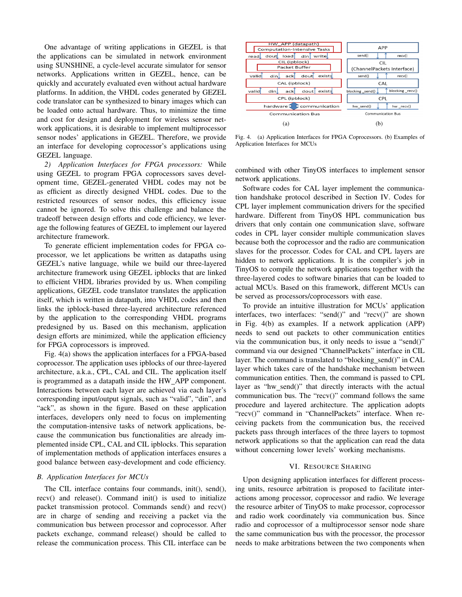One advantage of writing applications in GEZEL is that the applications can be simulated in network environment using SUNSHINE, a cycle-level accurate simulator for sensor networks. Applications written in GEZEL, hence, can be quickly and accurately evaluated even without actual hardware platforms. In addition, the VHDL codes generated by GEZEL code translator can be synthesized to binary images which can be loaded onto actual hardware. Thus, to minimize the time and cost for design and deployment for wireless sensor network applications, it is desirable to implement multiprocessor sensor nodes' applications in GEZEL. Therefore, we provide an interface for developing coprocessor's applications using GEZEL language.

*2) Application Interfaces for FPGA processors:* While using GEZEL to program FPGA coprocessors saves development time, GEZEL-generated VHDL codes may not be as efficient as directly designed VHDL codes. Due to the restricted resources of sensor nodes, this efficiency issue cannot be ignored. To solve this challenge and balance the tradeoff between design efforts and code efficiency, we leverage the following features of GEZEL to implement our layered architecture framework.

To generate efficient implementation codes for FPGA coprocessor, we let applications be written as datapaths using GEZEL's native language, while we build our three-layered architecture framework using GEZEL ipblocks that are linked to efficient VHDL libraries provided by us. When compiling applications, GEZEL code translator translates the application itself, which is written in datapath, into VHDL codes and then links the ipblock-based three-layered architecture referenced by the application to the corresponding VHDL programs predesigned by us. Based on this mechanism, application design efforts are minimized, while the application efficiency for FPGA coprocessors is improved.

Fig. 4(a) shows the application interfaces for a FPGA-based coprocessor. The application uses ipblocks of our three-layered architecture, a.k.a., CPL, CAL and CIL. The application itself is programmed as a datapath inside the HW APP component. Interactions between each layer are achieved via each layer's corresponding input/output signals, such as "valid", "din", and "ack", as shown in the figure. Based on these application interfaces, developers only need to focus on implementing the computation-intensive tasks of network applications, because the communication bus functionalities are already implemented inside CPL, CAL and CIL ipblocks. This separation of implementation methods of application interfaces ensures a good balance between easy-development and code efficiency.

# *B. Application Interfaces for MCUs*

The CIL interface contains four commands, init(), send(), recv() and release(). Command init() is used to initialize packet transmission protocol. Commands send() and recv() are in charge of sending and receiving a packet via the communication bus between processor and coprocessor. After packets exchange, command release() should be called to release the communication process. This CIL interface can be



Fig. 4. (a) Application Interfaces for FPGA Coprocessors. (b) Examples of Application Interfaces for MCUs

combined with other TinyOS interfaces to implement sensor network applications.

Software codes for CAL layer implement the communication handshake protocol described in Section IV. Codes for CPL layer implement communication drivers for the specified hardware. Different from TinyOS HPL communication bus drivers that only contain one communication slave, software codes in CPL layer consider multiple communication slaves because both the coprocessor and the radio are communication slaves for the processor. Codes for CAL and CPL layers are hidden to network applications. It is the compiler's job in TinyOS to compile the network applications together with the three-layered codes to software binaries that can be loaded to actual MCUs. Based on this framework, different MCUs can be served as processors/coprocessors with ease.

To provide an intuitive illustration for MCUs' application interfaces, two interfaces: "send()" and "recv()" are shown in Fig. 4(b) as examples. If a network application (APP) needs to send out packets to other communication entities via the communication bus, it only needs to issue a "send()" command via our designed "ChannelPackets" interface in CIL layer. The command is translated to "blocking\_send()" in CAL layer which takes care of the handshake mechanism between communication entities. Then, the command is passed to CPL layer as "hw\_send()" that directly interacts with the actual communication bus. The "recv()" command follows the same procedure and layered architecture. The application adopts "recv()" command in "ChannelPackets" interface. When receiving packets from the communication bus, the received packets pass through interfaces of the three layers to topmost network applications so that the application can read the data without concerning lower levels' working mechanisms.

#### VI. RESOURCE SHARING

Upon designing application interfaces for different processing units, resource arbitration is proposed to facilitate interactions among processor, coprocessor and radio. We leverage the resource arbiter of TinyOS to make processor, coprocessor and radio work coordinately via communication bus. Since radio and coprocessor of a multiprocessor sensor node share the same communication bus with the processor, the processor needs to make arbitrations between the two components when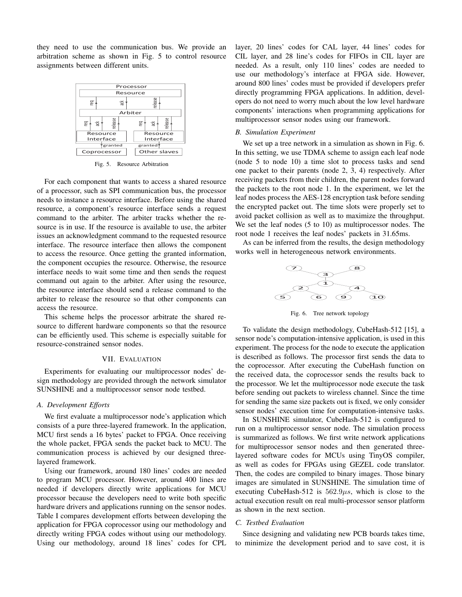they need to use the communication bus. We provide an arbitration scheme as shown in Fig. 5 to control resource assignments between different units.



Fig. 5. Resource Arbitration

For each component that wants to access a shared resource of a processor, such as SPI communication bus, the processor needs to instance a resource interface. Before using the shared resource, a component's resource interface sends a request command to the arbiter. The arbiter tracks whether the resource is in use. If the resource is available to use, the arbiter issues an acknowledgment command to the requested resource interface. The resource interface then allows the component to access the resource. Once getting the granted information, the component occupies the resource. Otherwise, the resource interface needs to wait some time and then sends the request command out again to the arbiter. After using the resource, the resource interface should send a release command to the arbiter to release the resource so that other components can access the resource.

This scheme helps the processor arbitrate the shared resource to different hardware components so that the resource can be efficiently used. This scheme is especially suitable for resource-constrained sensor nodes.

# VII. EVALUATION

Experiments for evaluating our multiprocessor nodes' design methodology are provided through the network simulator SUNSHINE and a multiprocessor sensor node testbed.

# *A. Development Efforts*

We first evaluate a multiprocessor node's application which consists of a pure three-layered framework. In the application, MCU first sends a 16 bytes' packet to FPGA. Once receiving the whole packet, FPGA sends the packet back to MCU. The communication process is achieved by our designed threelayered framework.

Using our framework, around 180 lines' codes are needed to program MCU processor. However, around 400 lines are needed if developers directly write applications for MCU processor because the developers need to write both specific hardware drivers and applications running on the sensor nodes. Table I compares development efforts between developing the application for FPGA coprocessor using our methodology and directly writing FPGA codes without using our methodology. Using our methodology, around 18 lines' codes for CPL layer, 20 lines' codes for CAL layer, 44 lines' codes for CIL layer, and 28 line's codes for FIFOs in CIL layer are needed. As a result, only 110 lines' codes are needed to use our methodology's interface at FPGA side. However, around 800 lines' codes must be provided if developers prefer directly programming FPGA applications. In addition, developers do not need to worry much about the low level hardware components' interactions when programming applications for multiprocessor sensor nodes using our framework.

# *B. Simulation Experiment*

We set up a tree network in a simulation as shown in Fig. 6. In this setting, we use TDMA scheme to assign each leaf node (node 5 to node 10) a time slot to process tasks and send one packet to their parents (node 2, 3, 4) respectively. After receiving packets from their children, the parent nodes forward the packets to the root node 1. In the experiment, we let the leaf nodes process the AES-128 encryption task before sending the encrypted packet out. The time slots were properly set to avoid packet collision as well as to maximize the throughput. We set the leaf nodes (5 to 10) as multiprocessor nodes. The root node 1 receives the leaf nodes' packets in 31.65ms.

As can be inferred from the results, the design methodology works well in heterogeneous network environments.



Fig. 6. Tree network topology

To validate the design methodology, CubeHash-512 [15], a sensor node's computation-intensive application, is used in this experiment. The process for the node to execute the application is described as follows. The processor first sends the data to the coprocessor. After executing the CubeHash function on the received data, the coprocessor sends the results back to the processor. We let the multiprocessor node execute the task before sending out packets to wireless channel. Since the time for sending the same size packets out is fixed, we only consider sensor nodes' execution time for computation-intensive tasks.

In SUNSHINE simulator, CubeHash-512 is configured to run on a multiprocessor sensor node. The simulation process is summarized as follows. We first write network applications for multiprocessor sensor nodes and then generated threelayered software codes for MCUs using TinyOS compiler, as well as codes for FPGAs using GEZEL code translator. Then, the codes are compiled to binary images. Those binary images are simulated in SUNSHINE. The simulation time of executing CubeHash-512 is  $562.9\mu s$ , which is close to the actual execution result on real multi-processor sensor platform as shown in the next section.

# *C. Testbed Evaluation*

Since designing and validating new PCB boards takes time, to minimize the development period and to save cost, it is